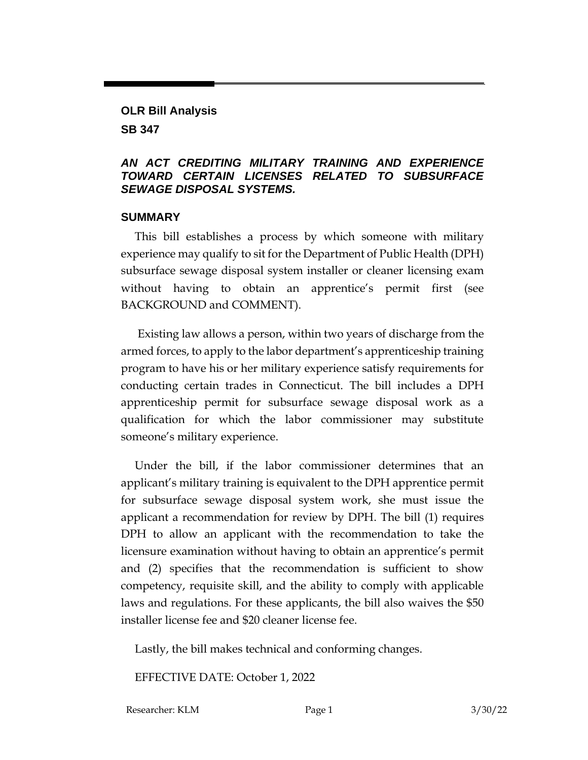# **OLR Bill Analysis**

**SB 347**

### *AN ACT CREDITING MILITARY TRAINING AND EXPERIENCE TOWARD CERTAIN LICENSES RELATED TO SUBSURFACE SEWAGE DISPOSAL SYSTEMS.*

## **SUMMARY**

This bill establishes a process by which someone with military experience may qualify to sit for the Department of Public Health (DPH) subsurface sewage disposal system installer or cleaner licensing exam without having to obtain an apprentice's permit first (see BACKGROUND and COMMENT).

Existing law allows a person, within two years of discharge from the armed forces, to apply to the labor department's apprenticeship training program to have his or her military experience satisfy requirements for conducting certain trades in Connecticut. The bill includes a DPH apprenticeship permit for subsurface sewage disposal work as a qualification for which the labor commissioner may substitute someone's military experience.

Under the bill, if the labor commissioner determines that an applicant's military training is equivalent to the DPH apprentice permit for subsurface sewage disposal system work, she must issue the applicant a recommendation for review by DPH. The bill (1) requires DPH to allow an applicant with the recommendation to take the licensure examination without having to obtain an apprentice's permit and (2) specifies that the recommendation is sufficient to show competency, requisite skill, and the ability to comply with applicable laws and regulations. For these applicants, the bill also waives the \$50 installer license fee and \$20 cleaner license fee.

Lastly, the bill makes technical and conforming changes.

EFFECTIVE DATE: October 1, 2022

Researcher: KLM Page 1 3/30/22